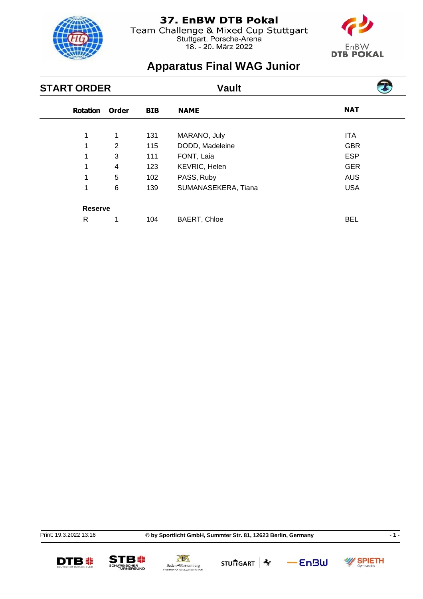

Team Challenge & Mixed Cup Stuttgart<br>Stuttgart, Porsche-Arena<br>18. - 20. März 2022



# **Apparatus Final WAG Junior**

| <b>START ORDER</b> |              |            | <b>Vault</b>        |            |  |
|--------------------|--------------|------------|---------------------|------------|--|
| <b>Rotation</b>    | <b>Order</b> | <b>BIB</b> | <b>NAME</b>         | <b>NAT</b> |  |
| 1                  | 1            | 131        | MARANO, July        | <b>ITA</b> |  |
| 1                  | 2            | 115        | DODD, Madeleine     | <b>GBR</b> |  |
| 1                  | 3            | 111        | FONT, Laia          | <b>ESP</b> |  |
| 1                  | 4            | 123        | KEVRIC, Helen       | <b>GER</b> |  |
| 1                  | 5            | 102        | PASS, Ruby          | <b>AUS</b> |  |
| 1                  | 6            | 139        | SUMANASEKERA, Tiana | <b>USA</b> |  |
| <b>Reserve</b>     |              |            |                     |            |  |
| R                  | 1            | 104        | <b>BAERT, Chloe</b> | <b>BEL</b> |  |

Print: 19.3.2022 13:16







STU市GART **\*** 

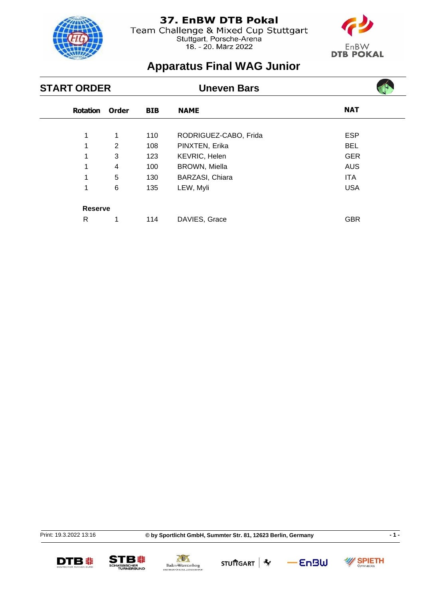

Team Challenge & Mixed Cup Stuttgart<br>Stuttgart, Porsche-Arena<br>18. - 20. März 2022



# **Apparatus Final WAG Junior**

| <b>START ORDER</b> |                |            | <b>Uneven Bars</b>    |            |  |
|--------------------|----------------|------------|-----------------------|------------|--|
| <b>Rotation</b>    | <b>Order</b>   | <b>BIB</b> | <b>NAME</b>           | <b>NAT</b> |  |
| 1                  | 1              | 110        | RODRIGUEZ-CABO, Frida | <b>ESP</b> |  |
| 1                  | $\overline{2}$ | 108        | PINXTEN, Erika        | <b>BEL</b> |  |
| 1                  | 3              | 123        | KEVRIC, Helen         | <b>GER</b> |  |
|                    | 4              | 100        | <b>BROWN, Miella</b>  | <b>AUS</b> |  |
| 1                  | 5              | 130        | BARZASI, Chiara       | ITA.       |  |
| 1                  | 6              | 135        | LEW, Myli             | <b>USA</b> |  |
| <b>Reserve</b>     |                |            |                       |            |  |
| R                  | 1              | 114        | DAVIES, Grace         | <b>GBR</b> |  |

Print: 19.3.2022 13:16

**© by Sportlicht GmbH, Summter Str. 81, 12623 Berlin, Germany - 1 -**







STU市GART **\*** 

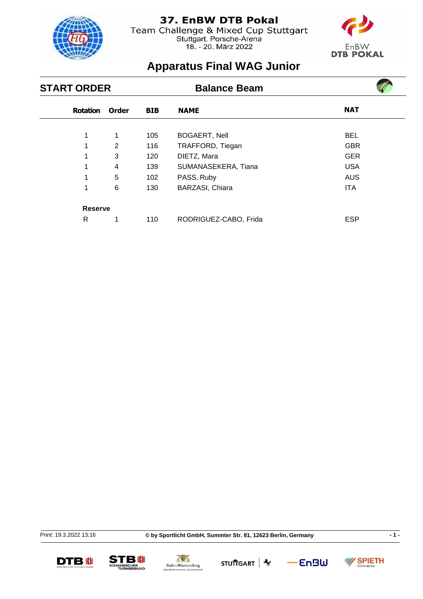

Team Challenge & Mixed Cup Stuttgart<br>Stuttgart, Porsche-Arena<br>18. - 20. März 2022



 $\mathcal{L}$ 

# **Apparatus Final WAG Junior**

| <b>START ORDER</b> |              |            | <b>Balance Beam</b>   |            |  |
|--------------------|--------------|------------|-----------------------|------------|--|
| <b>Rotation</b>    | <b>Order</b> | <b>BIB</b> | <b>NAME</b>           | <b>NAT</b> |  |
| 1                  | 1            | 105        | <b>BOGAERT, Nell</b>  | <b>BEL</b> |  |
| 1                  | 2            | 116        | TRAFFORD, Tiegan      | <b>GBR</b> |  |
| 1                  | 3            | 120        | DIETZ, Mara           | <b>GER</b> |  |
|                    | 4            | 139        | SUMANASEKERA, Tiana   | <b>USA</b> |  |
| 1                  | 5            | 102        | PASS, Ruby            | <b>AUS</b> |  |
| 1                  | 6            | 130        | BARZASI, Chiara       | <b>ITA</b> |  |
| <b>Reserve</b>     |              |            |                       |            |  |
| R                  | 1            | 110        | RODRIGUEZ-CABO, Frida | <b>ESP</b> |  |

Print: 19.3.2022 13:16